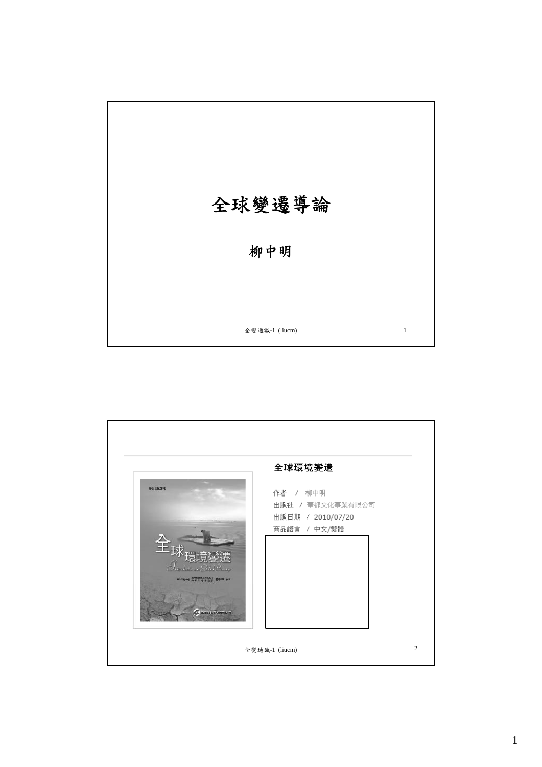

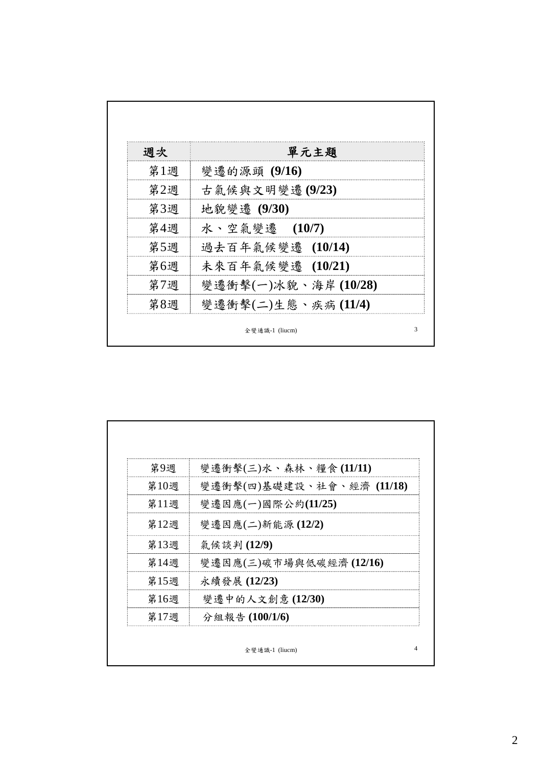| 週次  | 單元主題                |
|-----|---------------------|
| 第1週 | 變遷的源頭 (9/16)        |
| 第2週 | 古氣候與文明變遷(9/23)      |
| 第3週 | 地貌變遷 (9/30)         |
| 第4週 | 水、空氣變遷 (10/7)       |
| 第5週 | 過去百年氣候變遷 (10/14)    |
| 第6週 | 未來百年氣候變遷 (10/21)    |
| 第7週 | 變遷衝擊(一)冰貌、海岸(10/28) |
| 第8週 | 變遷衝擊(二)生態、疾病(11/4)  |

| 第9週  | 變遷衝擊(三)水、森林、糧食(11/11)     |
|------|---------------------------|
| 第10週 | 變遷衝擊(四)基礎建設、社會、經濟 (11/18) |
| 第11週 | 變遷因應(一)國際公約(11/25)        |
| 第12週 | 變遷因應(二)新能源(12/2)          |
| 第13週 | 氣候談判(12/9)                |
| 第14週 | 變遷因應(三)碳市場與低碳經濟(12/16)    |
| 第15週 | 永續發展 (12/23)              |
| 第16週 | 變遷中的人文創意(12/30)           |
| 第17週 | 分組報告(100/1/6)             |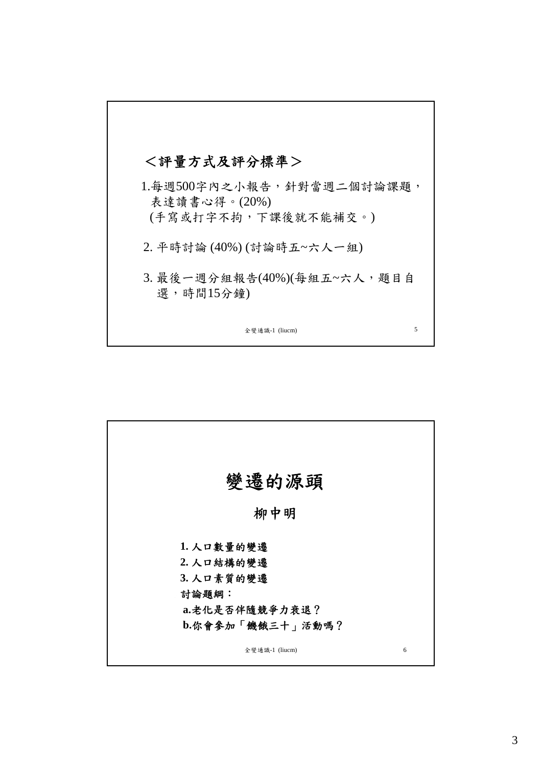

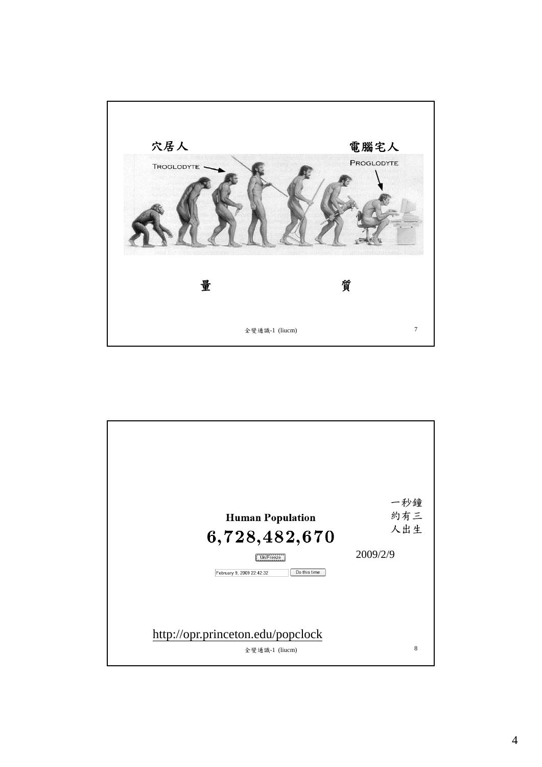

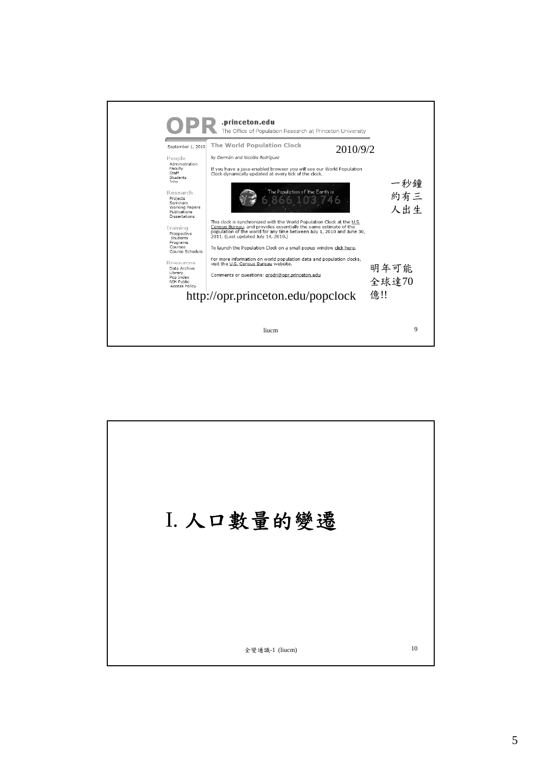

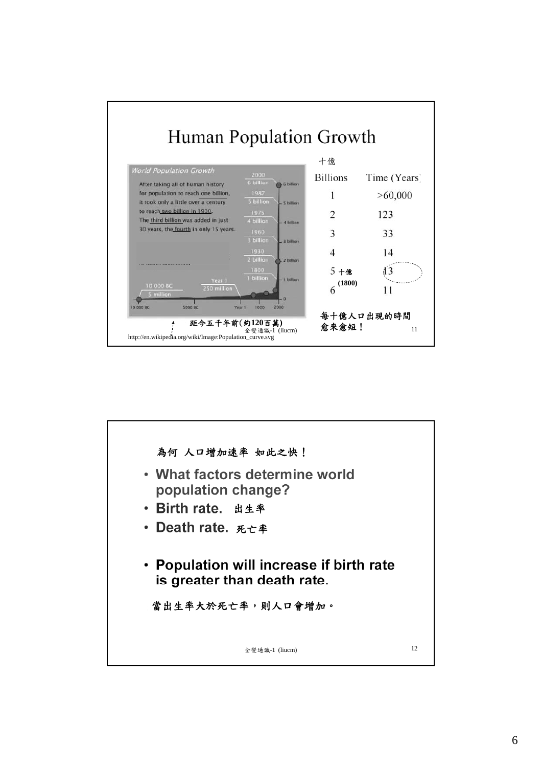

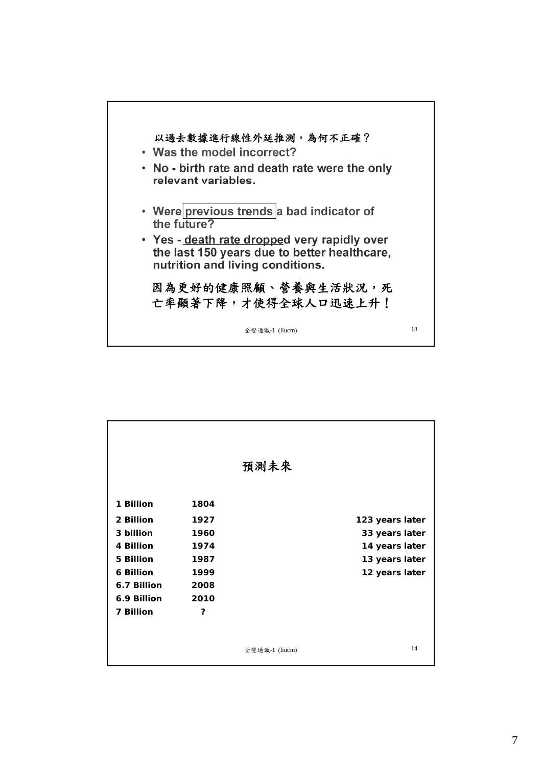

|             |      | 預測未來           |                 |
|-------------|------|----------------|-----------------|
|             |      |                |                 |
| 1 Billion   | 1804 |                |                 |
| 2 Billion   | 1927 |                | 123 years later |
| 3 billion   | 1960 |                | 33 years later  |
| 4 Billion   | 1974 |                | 14 years later  |
| 5 Billion   | 1987 |                | 13 years later  |
| 6 Billion   | 1999 |                | 12 years later  |
| 6.7 Billion | 2008 |                |                 |
| 6.9 Billion | 2010 |                |                 |
| 7 Billion   | ?    |                |                 |
|             |      |                |                 |
|             |      |                |                 |
|             |      | 全變通識-1 (liucm) | 14              |
|             |      |                |                 |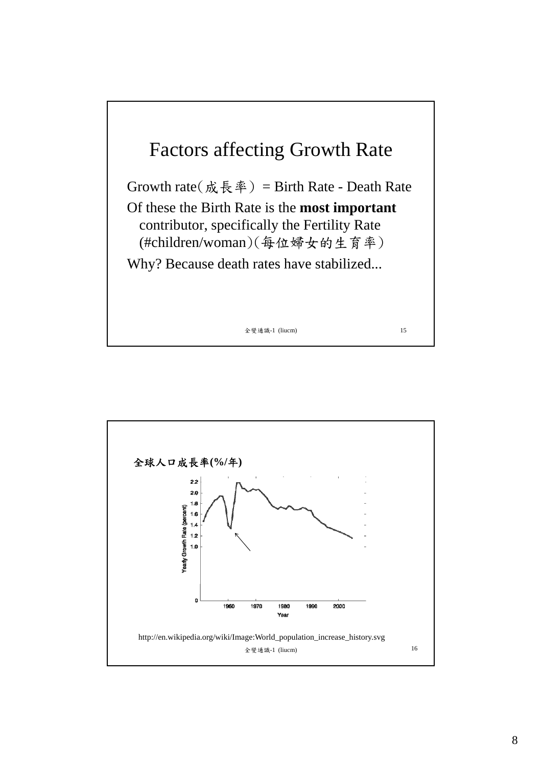

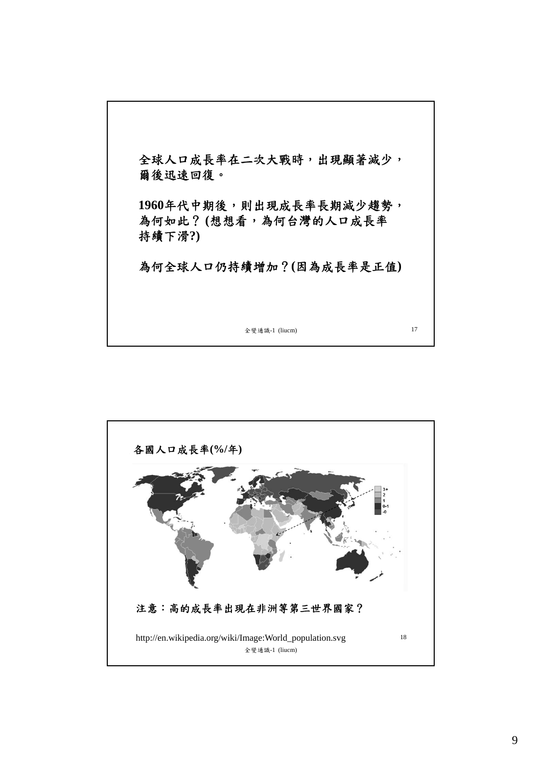

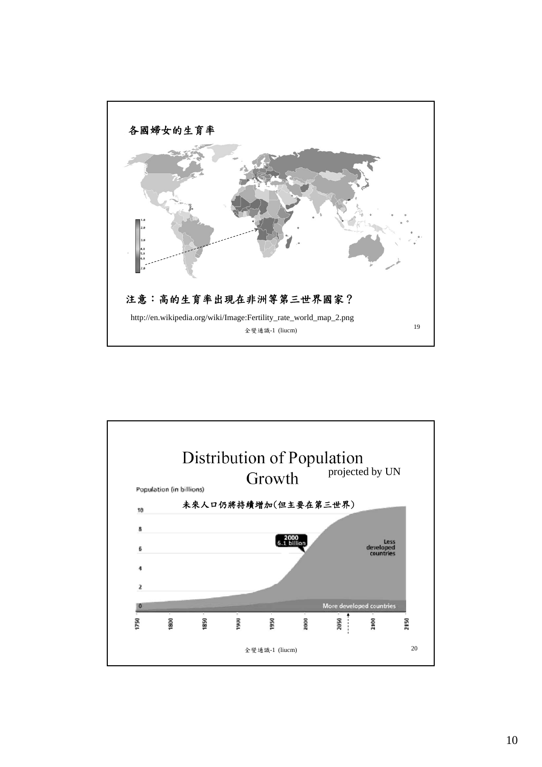

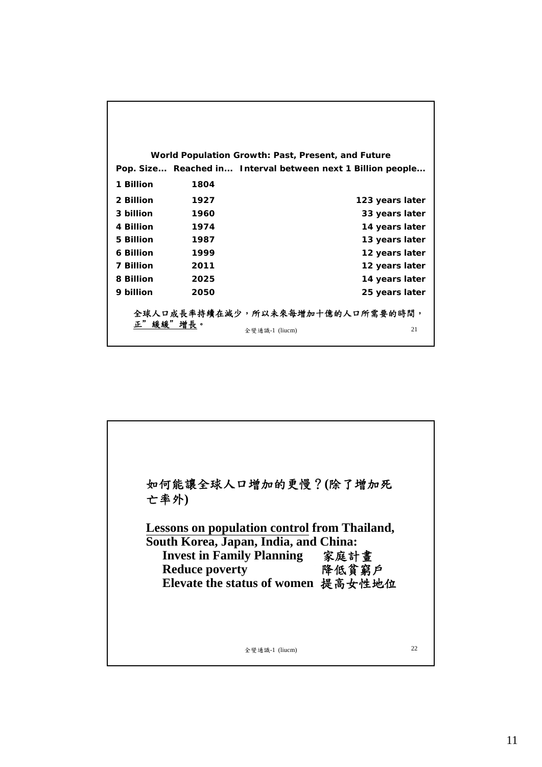|           |      | World Population Growth: Past, Present, and Future          |
|-----------|------|-------------------------------------------------------------|
|           |      | Pop. Size Reached in Interval between next 1 Billion people |
| 1 Billion | 1804 |                                                             |
| 2 Billion | 1927 | 123 years later                                             |
| 3 billion | 1960 | 33 years later                                              |
| 4 Billion | 1974 | 14 years later                                              |
| 5 Billion | 1987 | 13 years later                                              |
| 6 Billion | 1999 | 12 years later                                              |
| 7 Billion | 2011 | 12 years later                                              |
| 8 Billion | 2025 | 14 years later                                              |
| 9 billion | 2050 | 25 years later                                              |
|           |      | 全球人口成長率持續在減少,所以未來每增加十億的人口所需要的時間,                            |
| 正"緩緩"增長。  |      |                                                             |
|           |      | 21<br>全變通識-1 (liucm)                                        |

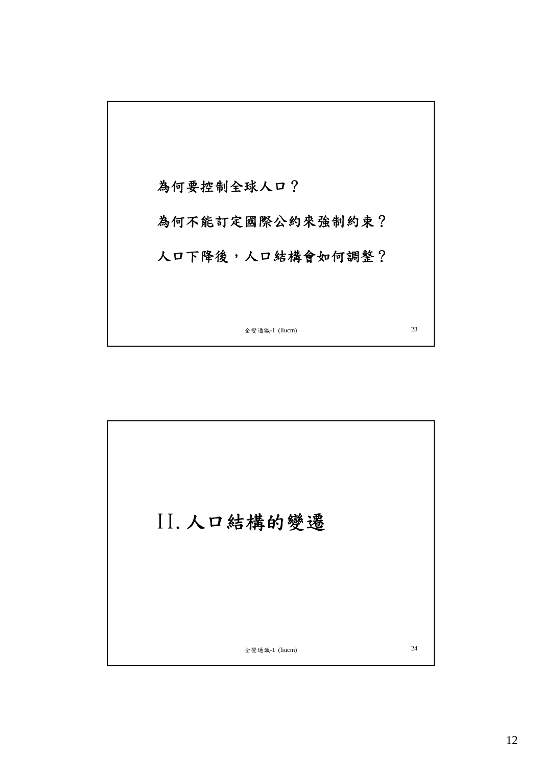

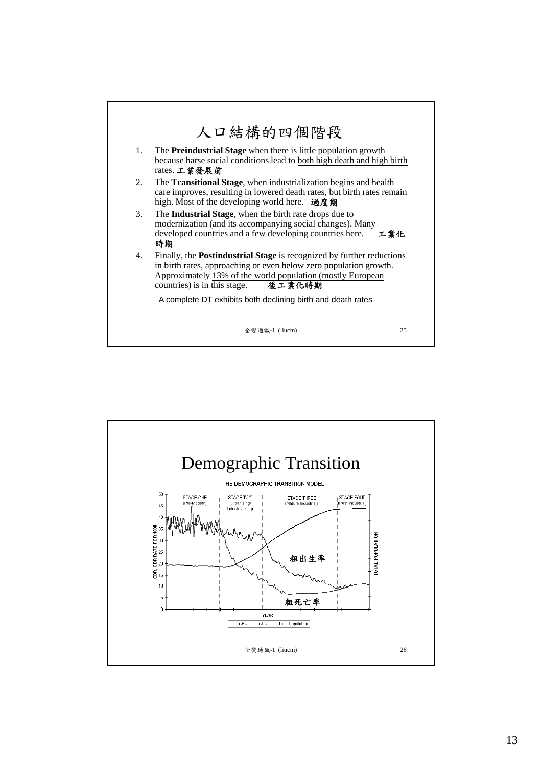

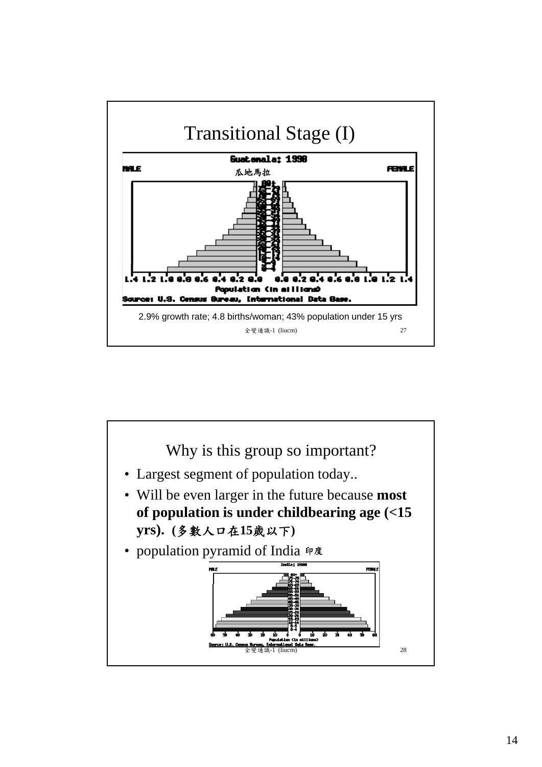

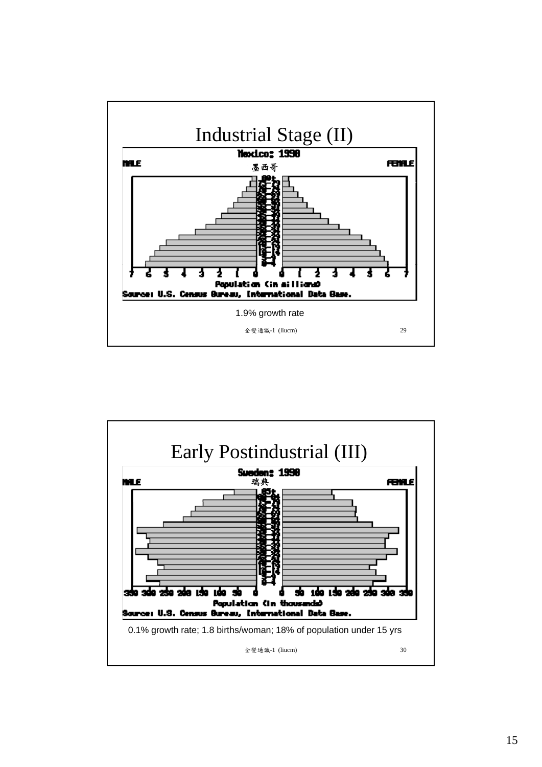

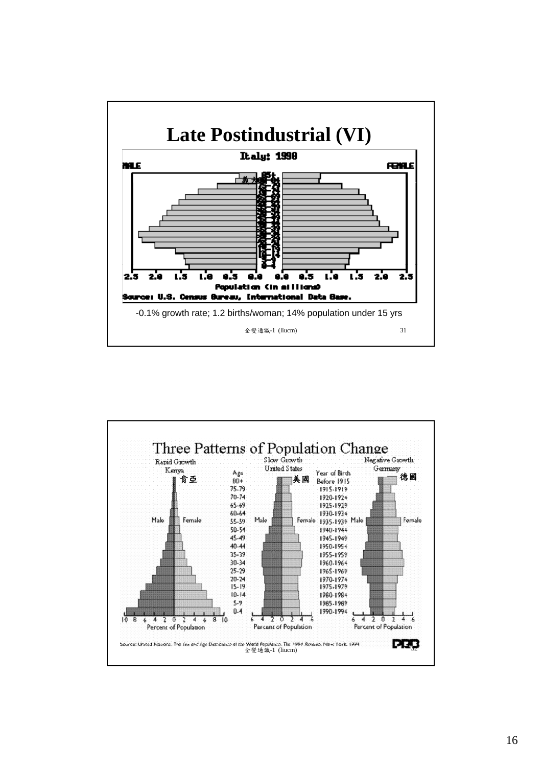

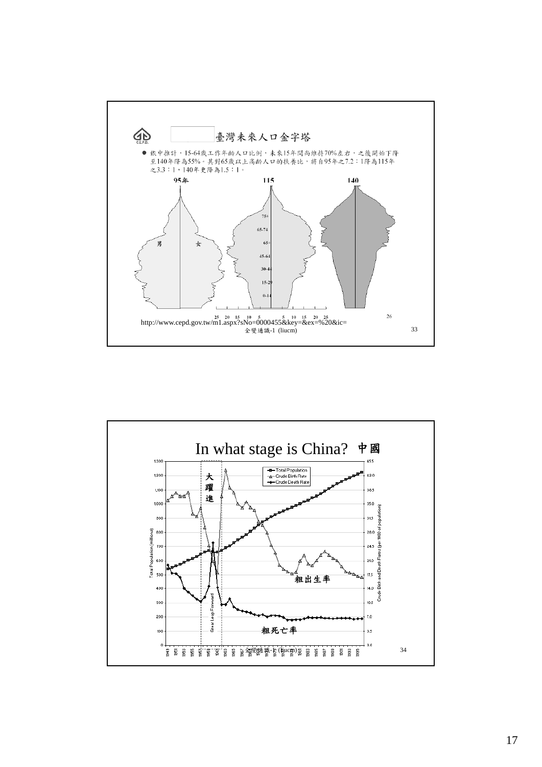

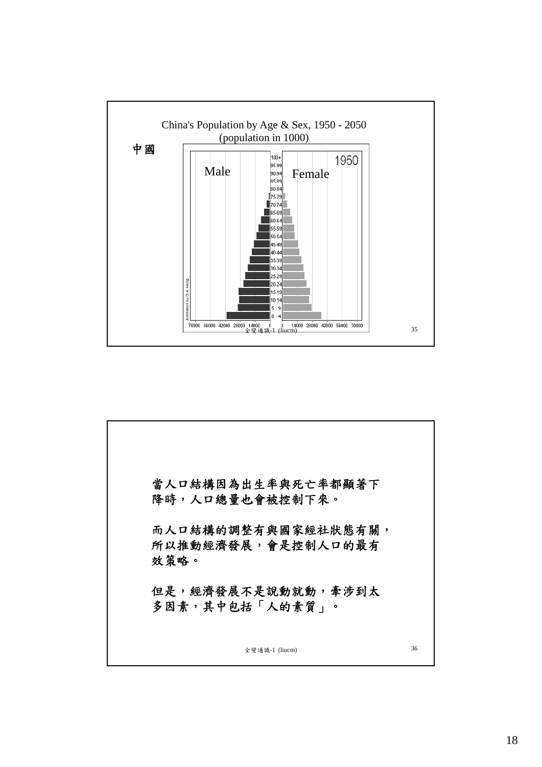

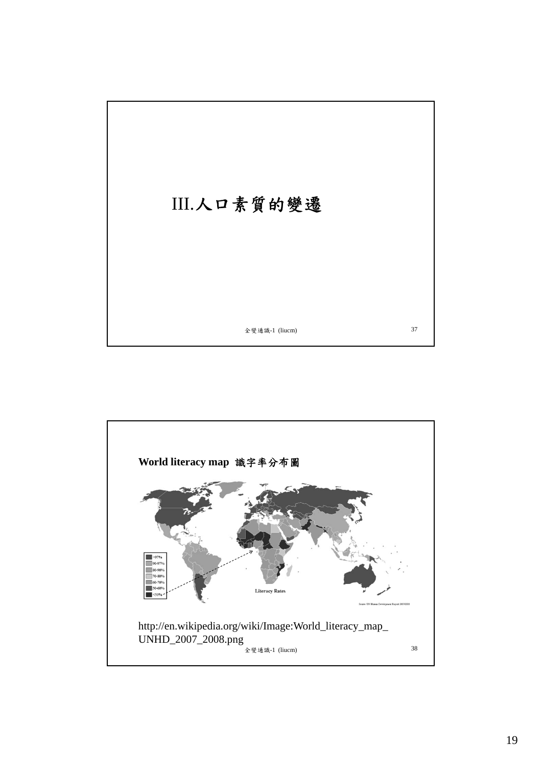

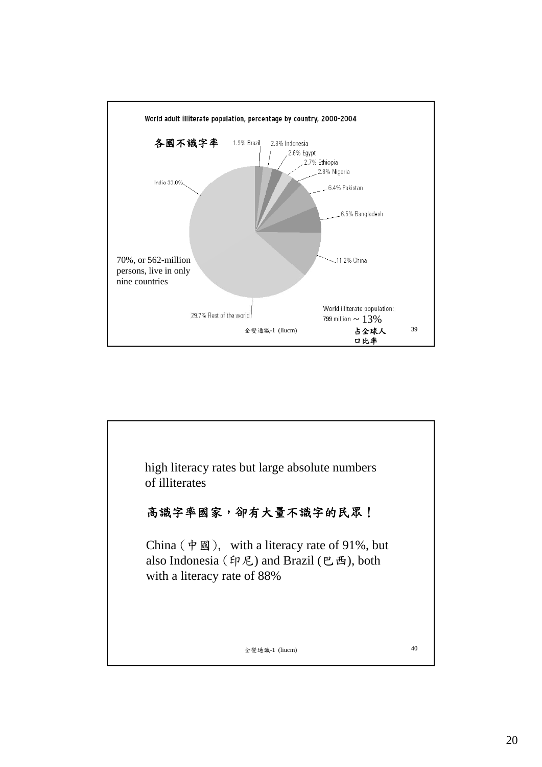

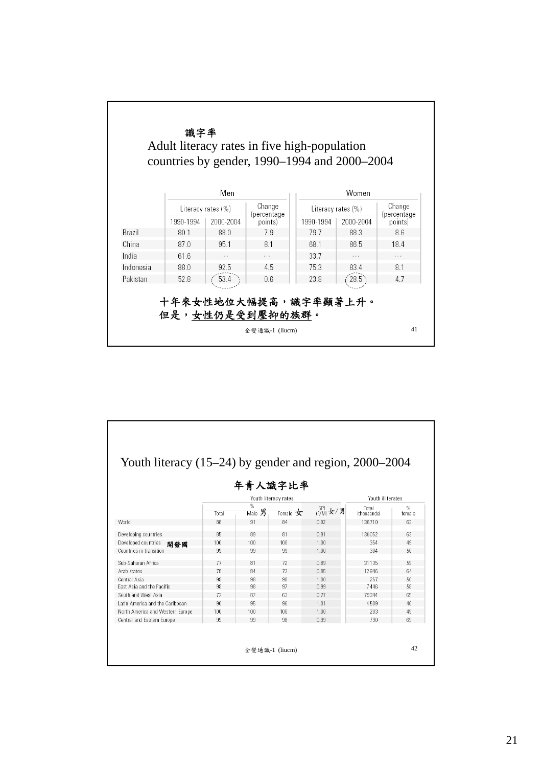

| Youth literacy $(15-24)$ by gender and region, $2000-2004$ |                      |                         |              |                                           |                      |                |  |
|------------------------------------------------------------|----------------------|-------------------------|--------------|-------------------------------------------|----------------------|----------------|--|
|                                                            |                      |                         | 年青人識字比率      |                                           |                      |                |  |
|                                                            | Youth literacy rates |                         |              |                                           | Youth illiterates    |                |  |
|                                                            | Total                | $\frac{0}{n}$<br>Male 男 | Female $\pm$ | $GPH_{(F/M)} \nleftrightarrow / \nexists$ | Total<br>(thousands) | $\%$<br>female |  |
| World                                                      | 88                   | 91                      | 84           | 0.92                                      | 136710               | 63             |  |
| Developing countries                                       | 85                   | 89                      | 81           | 0.91                                      | 136052               | 63             |  |
| Developed countries<br>開發國                                 | 100                  | 100                     | 100          | 1.00                                      | 354                  | 49             |  |
| Countries in transition                                    | 99                   | 99                      | 99           | 1.00                                      | 304                  | 50             |  |
| Sub-Saharan Africa                                         | 77                   | 81                      | 72           | 0.89                                      | 31 1 35              | 59             |  |
| Arab states                                                | 78                   | 84                      | 72           | 0.85                                      | 12946                | 64             |  |
| Central Asia                                               | 98                   | 98                      | 98           | 1.00                                      | 257                  | 50             |  |
| East Asia and the Pacific                                  | 98                   | 98                      | 97           | 0.99                                      | 7446                 | 58             |  |
| South and West Asia                                        | 72                   | 82                      | 63           | 0.77                                      | 79344                | 65             |  |
| Latin America and the Caribbean                            | 96                   | 95                      | 96           | 1.01                                      | 4589                 | 46             |  |
| North America and Western Europe                           | 100                  | 100                     | 100          | 1.00                                      | 203                  | 49             |  |
| Central and Eastern Europe                                 | 99                   | 99                      | 98           | 0.99                                      | 790                  | 69             |  |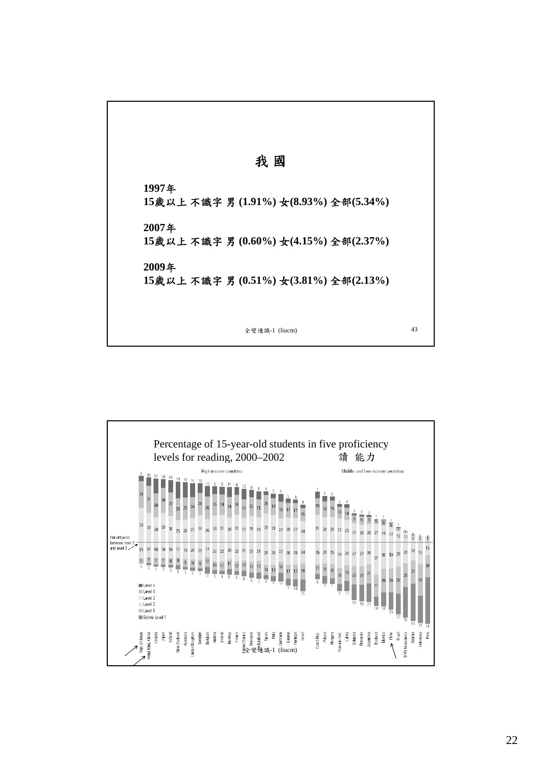

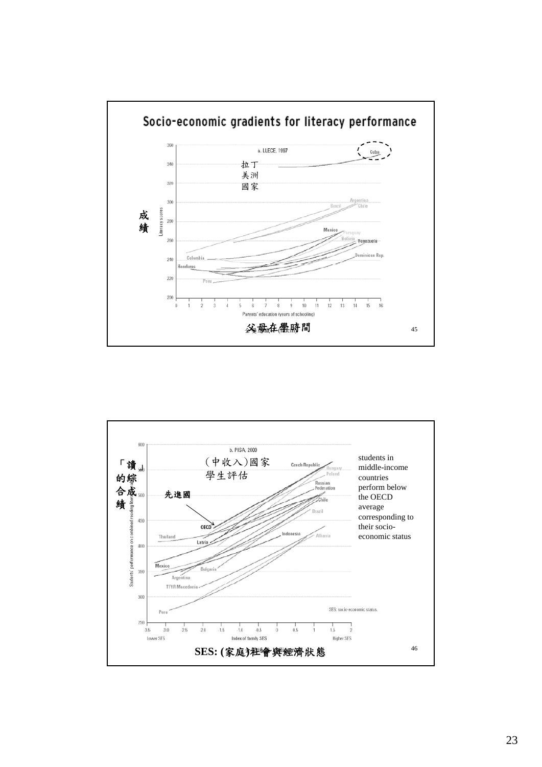

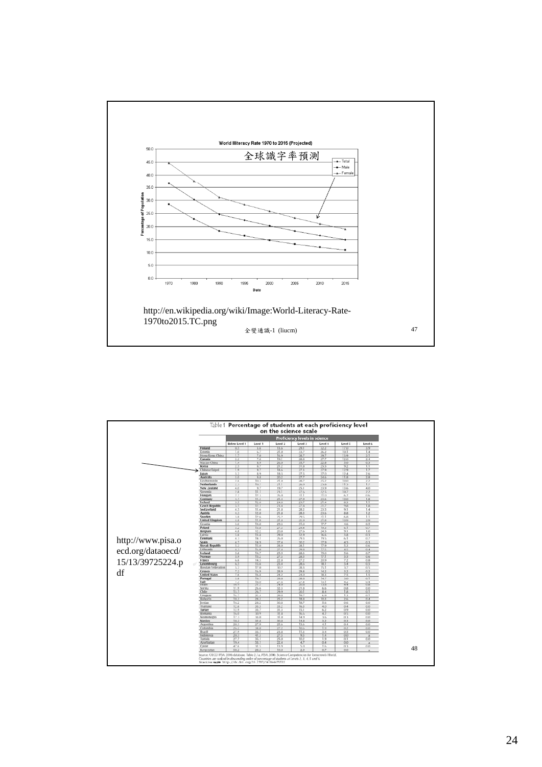

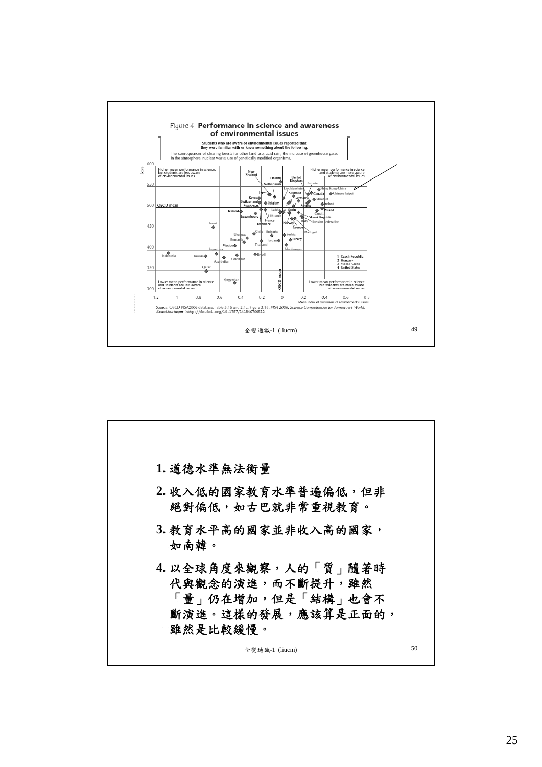